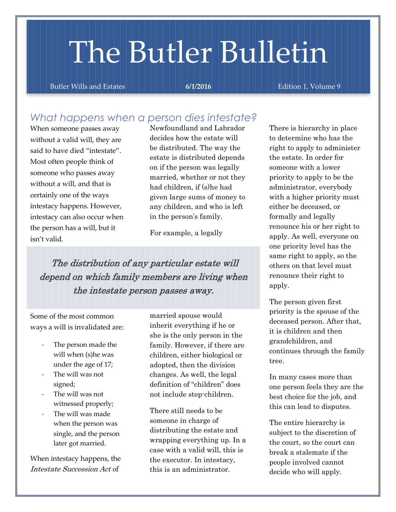# The Butler Bulletin

Butler Wills and Estates **6/1/2016** Edition 1, Volume 9

## *What happens when a person dies intestate?*

When someone passes away without a valid will, they are said to have died "intestate". Most often people think of someone who passes away without a will, and that is certainly one of the ways intestacy happens. However, intestacy can also occur when the person has a will, but it isn't valid.

Newfoundland and Labrador decides how the estate will be distributed. The way the estate is distributed depends on if the person was legally married, whether or not they had children, if (s)he had given large sums of money to any children, and who is left in the person's family.

For example, a legally

The distribution of any particular estate will depend on which family members are living when the intestate person passes away.

Some of the most common ways a will is invalidated are:

- The person made the will when (s)he was under the age of 17;
- The will was not signed;
- The will was not witnessed properly;
- The will was made when the person was single, and the person later got married.

When intestacy happens, the Intestate Succession Act of

married spouse would inherit everything if he or she is the only person in the family. However, if there are children, either biological or adopted, then the division changes. As well, the legal definition of "children" does not include step-children.

There still needs to be someone in charge of distributing the estate and wrapping everything up. In a case with a valid will, this is the executor. In intestacy, this is an administrator.

There is hierarchy in place to determine who has the right to apply to administer the estate. In order for someone with a lower priority to apply to be the administrator, everybody with a higher priority must either be deceased, or formally and legally renounce his or her right to apply. As well, everyone on one priority level has the same right to apply, so the others on that level must renounce their right to apply.

The person given first priority is the spouse of the deceased person. After that, it is children and then grandchildren, and continues through the family tree.

In many cases more than one person feels they are the best choice for the job, and this can lead to disputes.

The entire hierarchy is subject to the discretion of the court, so the court can break a stalemate if the people involved cannot decide who will apply.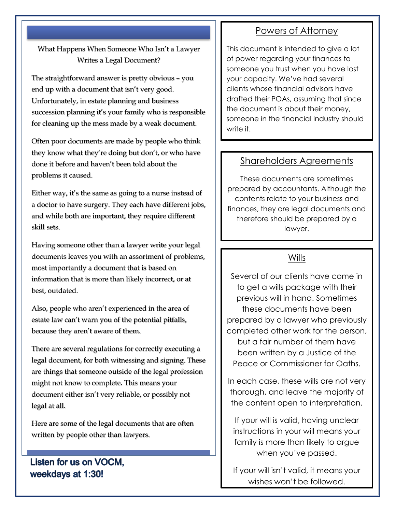#### What Happens When Someone Who Isn't a Lawyer Writes a Legal Document?

The straightforward answer is pretty obvious – you end up with a document that isn't very good. Unfortunately, in estate planning and business succession planning it's your family who is responsible for cleaning up the mess made by a weak document.

Often poor documents are made by people who think they know what they're doing but don't, or who have done it before and haven't been told about the problems it caused.

Either way, it's the same as going to a nurse instead of a doctor to have surgery. They each have different jobs, and while both are important, they require different skill sets.

Having someone other than a lawyer write your legal documents leaves you with an assortment of problems, most importantly a document that is based on information that is more than likely incorrect, or at best, outdated.

Also, people who aren't experienced in the area of estate law can't warn you of the potential pitfalls, because they aren't aware of them.

There are several regulations for correctly executing a legal document, for both witnessing and signing. These are things that someone outside of the legal profession might not know to complete. This means your document either isn't very reliable, or possibly not legal at all.

Here are some of the legal documents that are often written by people other than lawyers.

### Listen for us on VOCM, weekdays at 1:30!

## Powers of Attorney

This document is intended to give a lot of power regarding your finances to someone you trust when you have lost your capacity. We've had several clients whose financial advisors have drafted their POAs, assuming that since the document is about their money, someone in the financial industry should write it.

#### Shareholders Agreements

These documents are sometimes prepared by accountants. Although the contents relate to your business and finances, they are legal documents and therefore should be prepared by a lawyer.

#### **Wills**

Several of our clients have come in to get a wills package with their previous will in hand. Sometimes these documents have been prepared by a lawyer who previously completed other work for the person, but a fair number of them have been written by a Justice of the Peace or Commissioner for Oaths.

In each case, these wills are not very thorough, and leave the majority of the content open to interpretation.

If your will is valid, having unclear instructions in your will means your family is more than likely to argue when you've passed.

If your will isn't valid, it means your wishes won't be followed.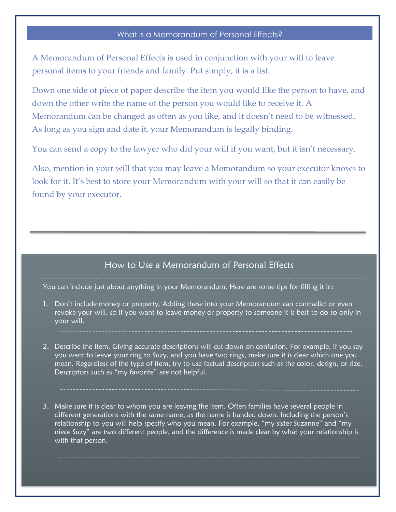#### What is a Memorandum of Personal Effects?

A Memorandum of Personal Effects is used in conjunction with your will to leave personal items to your friends and family. Put simply, it is a list.

Down one side of piece of paper describe the item you would like the person to have, and down the other write the name of the person you would like to receive it. A Memorandum can be changed as often as you like, and it doesn't need to be witnessed. As long as you sign and date it, your Memorandum is legally binding.

You can send a copy to the lawyer who did your will if you want, but it isn't necessary.

Also, mention in your will that you may leave a Memorandum so your executor knows to look for it. It's best to store your Memorandum with your will so that it can easily be found by your executor.

#### How to Use a Memorandum of Personal Effects

You can include just about anything in your Memorandum. Here are some tips for filling it in:

- 1. Don't include money or property. Adding these into your Memorandum can contradict or even revoke your will, so if you want to leave money or property to someone it is best to do so only in your will.
- 2. Describe the item. Giving accurate descriptions will cut down on confusion. For example, if you say you want to leave your ring to Suzy, and you have two rings, make sure it is clear which one you mean. Regardless of the type of item, try to use factual descriptors such as the color, design, or size. Descriptors such as "my favorite" are not helpful.
- 3. Make sure it is clear to whom you are leaving the item. Often families have several people in different generations with the same name, as the name is handed down. Including the person's relationship to you will help specify who you mean. For example, "my sister Suzanne" and "my niece Suzy" are two different people, and the difference is made clear by what your relationship is with that person.